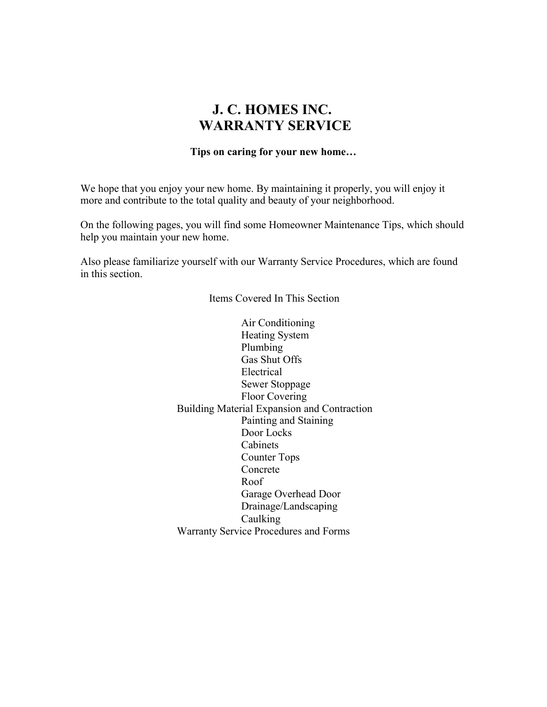# **J. C. HOMES INC. WARRANTY SERVICE**

#### **Tips on caring for your new home…**

We hope that you enjoy your new home. By maintaining it properly, you will enjoy it more and contribute to the total quality and beauty of your neighborhood.

On the following pages, you will find some Homeowner Maintenance Tips, which should help you maintain your new home.

Also please familiarize yourself with our Warranty Service Procedures, which are found in this section.

Items Covered In This Section

Air Conditioning Heating System Plumbing Gas Shut Offs Electrical Sewer Stoppage Floor Covering Building Material Expansion and Contraction Painting and Staining Door Locks Cabinets Counter Tops Concrete Roof Garage Overhead Door Drainage/Landscaping Caulking Warranty Service Procedures and Forms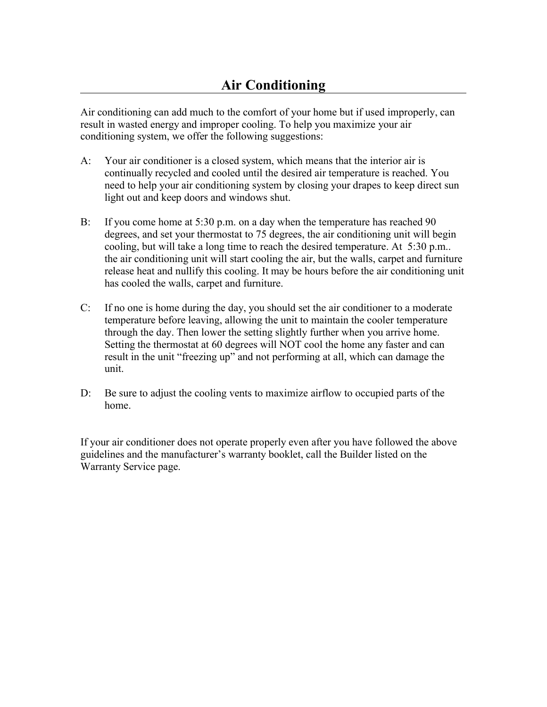Air conditioning can add much to the comfort of your home but if used improperly, can result in wasted energy and improper cooling. To help you maximize your air conditioning system, we offer the following suggestions:

- A: Your air conditioner is a closed system, which means that the interior air is continually recycled and cooled until the desired air temperature is reached. You need to help your air conditioning system by closing your drapes to keep direct sun light out and keep doors and windows shut.
- B: If you come home at 5:30 p.m. on a day when the temperature has reached 90 degrees, and set your thermostat to 75 degrees, the air conditioning unit will begin cooling, but will take a long time to reach the desired temperature. At 5:30 p.m.. the air conditioning unit will start cooling the air, but the walls, carpet and furniture release heat and nullify this cooling. It may be hours before the air conditioning unit has cooled the walls, carpet and furniture.
- C: If no one is home during the day, you should set the air conditioner to a moderate temperature before leaving, allowing the unit to maintain the cooler temperature through the day. Then lower the setting slightly further when you arrive home. Setting the thermostat at 60 degrees will NOT cool the home any faster and can result in the unit "freezing up" and not performing at all, which can damage the unit.
- D: Be sure to adjust the cooling vents to maximize airflow to occupied parts of the home.

If your air conditioner does not operate properly even after you have followed the above guidelines and the manufacturer's warranty booklet, call the Builder listed on the Warranty Service page.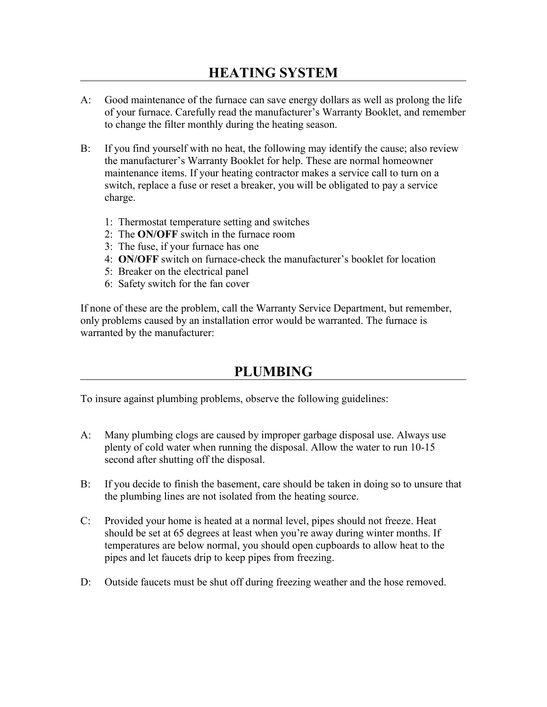- A: Good maintenance of the furnace can save energy dollars as well as prolong the life of your furnace. Carefully read the manufacturer's Warranty Booklet, and remember to change the filter monthly during the heating season.
- B: If you find yourself with no heat, the following may identify the cause; also review the manufacturer's Warranty Booklet for help. These are normal homeowner maintenance items. If your heating contractor makes a service call to turn on a switch, replace a fuse or reset a breaker, you will be obligated to pay a service charge.
	- 1: Thermostat temperature setting and switches
	- 2: The **ON/OFF** switch in the furnace room
	- 3: The fuse, if your furnace has one
	- 4: **ON/OFF** switch on furnace-check the manufacturer's booklet for location
	- 5: Breaker on the electrical panel
	- 6: Safety switch for the fan cover

If none of these are the problem, call the Warranty Service Department, but remember, only problems caused by an installation error would be warranted. The furnace is warranted by the manufacturer:

# **PLUMBING**

To insure against plumbing problems, observe the following guidelines:

- A: Many plumbing clogs are caused by improper garbage disposal use. Always use plenty of cold water when running the disposal. Allow the water to run 10-15 second after shutting off the disposal.
- B: If you decide to finish the basement, care should be taken in doing so to unsure that the plumbing lines are not isolated from the heating source.
- C: Provided your home is heated at a normal level, pipes should not freeze. Heat should be set at 65 degrees at least when you're away during winter months. If temperatures are below normal, you should open cupboards to allow heat to the pipes and let faucets drip to keep pipes from freezing.
- D: Outside faucets must be shut off during freezing weather and the hose removed.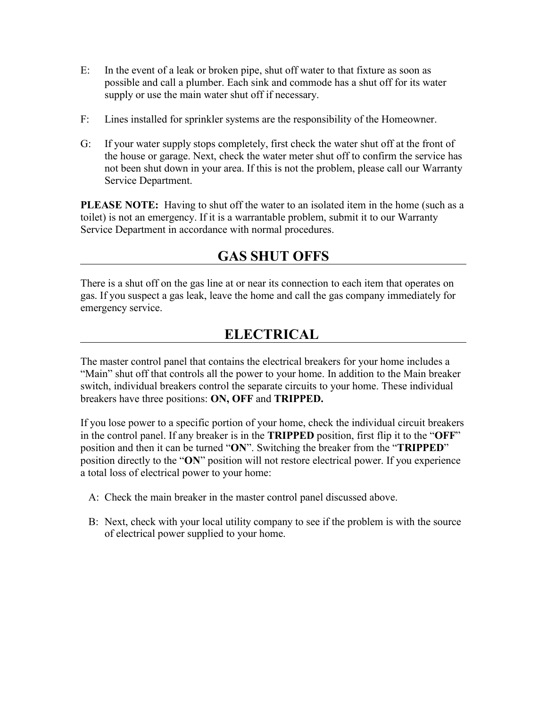- E: In the event of a leak or broken pipe, shut off water to that fixture as soon as possible and call a plumber. Each sink and commode has a shut off for its water supply or use the main water shut off if necessary.
- F: Lines installed for sprinkler systems are the responsibility of the Homeowner.
- G: If your water supply stops completely, first check the water shut off at the front of the house or garage. Next, check the water meter shut off to confirm the service has not been shut down in your area. If this is not the problem, please call our Warranty Service Department.

**PLEASE NOTE:** Having to shut off the water to an isolated item in the home (such as a toilet) is not an emergency. If it is a warrantable problem, submit it to our Warranty Service Department in accordance with normal procedures.

# **GAS SHUT OFFS**

There is a shut off on the gas line at or near its connection to each item that operates on gas. If you suspect a gas leak, leave the home and call the gas company immediately for emergency service.

# **ELECTRICAL**

The master control panel that contains the electrical breakers for your home includes a "Main" shut off that controls all the power to your home. In addition to the Main breaker switch, individual breakers control the separate circuits to your home. These individual breakers have three positions: **ON, OFF** and **TRIPPED.**

If you lose power to a specific portion of your home, check the individual circuit breakers in the control panel. If any breaker is in the **TRIPPED** position, first flip it to the "**OFF**" position and then it can be turned "**ON**". Switching the breaker from the "**TRIPPED**" position directly to the "**ON**" position will not restore electrical power. If you experience a total loss of electrical power to your home:

- A: Check the main breaker in the master control panel discussed above.
- B: Next, check with your local utility company to see if the problem is with the source of electrical power supplied to your home.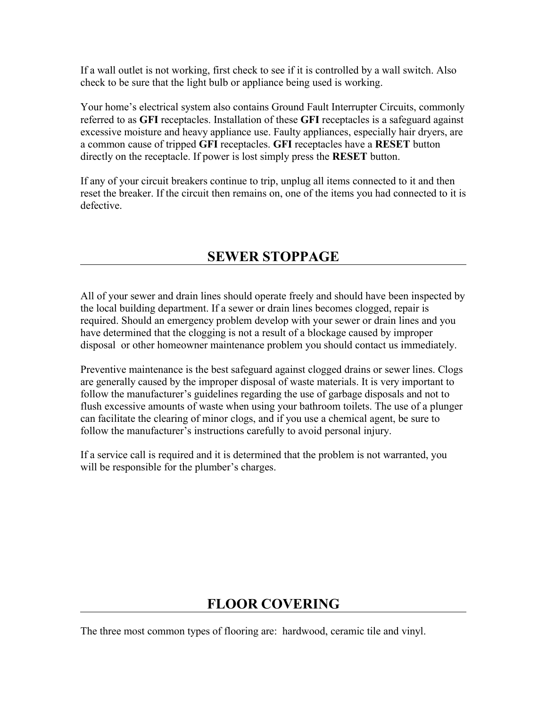If a wall outlet is not working, first check to see if it is controlled by a wall switch. Also check to be sure that the light bulb or appliance being used is working.

Your home's electrical system also contains Ground Fault Interrupter Circuits, commonly referred to as **GFI** receptacles. Installation of these **GFI** receptacles is a safeguard against excessive moisture and heavy appliance use. Faulty appliances, especially hair dryers, are a common cause of tripped **GFI** receptacles. **GFI** receptacles have a **RESET** button directly on the receptacle. If power is lost simply press the **RESET** button.

If any of your circuit breakers continue to trip, unplug all items connected to it and then reset the breaker. If the circuit then remains on, one of the items you had connected to it is defective.

# **SEWER STOPPAGE**

All of your sewer and drain lines should operate freely and should have been inspected by the local building department. If a sewer or drain lines becomes clogged, repair is required. Should an emergency problem develop with your sewer or drain lines and you have determined that the clogging is not a result of a blockage caused by improper disposal or other homeowner maintenance problem you should contact us immediately.

Preventive maintenance is the best safeguard against clogged drains or sewer lines. Clogs are generally caused by the improper disposal of waste materials. It is very important to follow the manufacturer's guidelines regarding the use of garbage disposals and not to flush excessive amounts of waste when using your bathroom toilets. The use of a plunger can facilitate the clearing of minor clogs, and if you use a chemical agent, be sure to follow the manufacturer's instructions carefully to avoid personal injury.

If a service call is required and it is determined that the problem is not warranted, you will be responsible for the plumber's charges.

# **FLOOR COVERING**

The three most common types of flooring are: hardwood, ceramic tile and vinyl.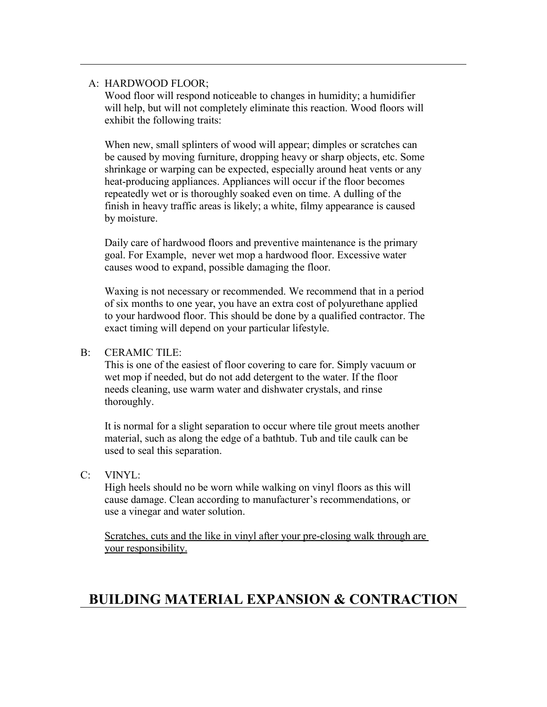#### A: HARDWOOD FLOOR;

Wood floor will respond noticeable to changes in humidity; a humidifier will help, but will not completely eliminate this reaction. Wood floors will exhibit the following traits:

When new, small splinters of wood will appear; dimples or scratches can be caused by moving furniture, dropping heavy or sharp objects, etc. Some shrinkage or warping can be expected, especially around heat vents or any heat-producing appliances. Appliances will occur if the floor becomes repeatedly wet or is thoroughly soaked even on time. A dulling of the finish in heavy traffic areas is likely; a white, filmy appearance is caused by moisture.

Daily care of hardwood floors and preventive maintenance is the primary goal. For Example, never wet mop a hardwood floor. Excessive water causes wood to expand, possible damaging the floor.

Waxing is not necessary or recommended. We recommend that in a period of six months to one year, you have an extra cost of polyurethane applied to your hardwood floor. This should be done by a qualified contractor. The exact timing will depend on your particular lifestyle.

#### B: CERAMIC TILE:

This is one of the easiest of floor covering to care for. Simply vacuum or wet mop if needed, but do not add detergent to the water. If the floor needs cleaning, use warm water and dishwater crystals, and rinse thoroughly.

It is normal for a slight separation to occur where tile grout meets another material, such as along the edge of a bathtub. Tub and tile caulk can be used to seal this separation.

C: VINYL:

High heels should no be worn while walking on vinyl floors as this will cause damage. Clean according to manufacturer's recommendations, or use a vinegar and water solution.

Scratches, cuts and the like in vinyl after your pre-closing walk through are your responsibility.

# **BUILDING MATERIAL EXPANSION & CONTRACTION**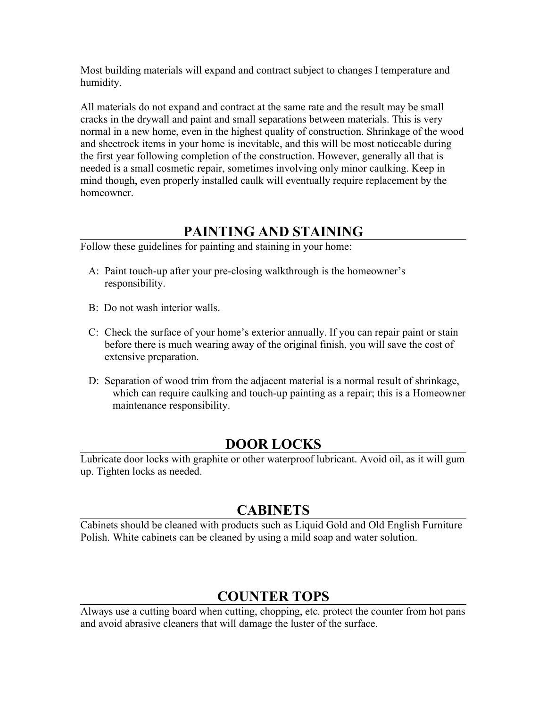Most building materials will expand and contract subject to changes I temperature and humidity.

All materials do not expand and contract at the same rate and the result may be small cracks in the drywall and paint and small separations between materials. This is very normal in a new home, even in the highest quality of construction. Shrinkage of the wood and sheetrock items in your home is inevitable, and this will be most noticeable during the first year following completion of the construction. However, generally all that is needed is a small cosmetic repair, sometimes involving only minor caulking. Keep in mind though, even properly installed caulk will eventually require replacement by the homeowner.

# **PAINTING AND STAINING**

Follow these guidelines for painting and staining in your home:

- A: Paint touch-up after your pre-closing walkthrough is the homeowner's responsibility.
- B: Do not wash interior walls.
- C: Check the surface of your home's exterior annually. If you can repair paint or stain before there is much wearing away of the original finish, you will save the cost of extensive preparation.
- D: Separation of wood trim from the adjacent material is a normal result of shrinkage, which can require caulking and touch-up painting as a repair; this is a Homeowner maintenance responsibility.

# **DOOR LOCKS**

Lubricate door locks with graphite or other waterproof lubricant. Avoid oil, as it will gum up. Tighten locks as needed.

# **CABINETS**

Cabinets should be cleaned with products such as Liquid Gold and Old English Furniture Polish. White cabinets can be cleaned by using a mild soap and water solution.

# **COUNTER TOPS**

Always use a cutting board when cutting, chopping, etc. protect the counter from hot pans and avoid abrasive cleaners that will damage the luster of the surface.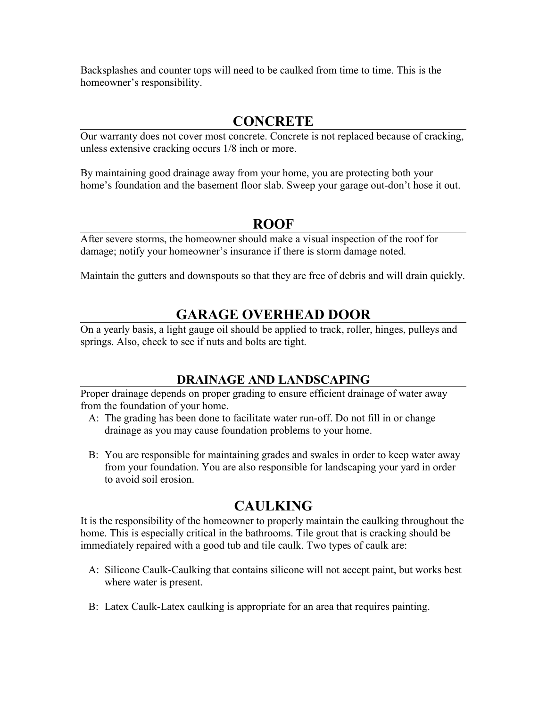Backsplashes and counter tops will need to be caulked from time to time. This is the homeowner's responsibility.

### **CONCRETE**

Our warranty does not cover most concrete. Concrete is not replaced because of cracking, unless extensive cracking occurs 1/8 inch or more.

By maintaining good drainage away from your home, you are protecting both your home's foundation and the basement floor slab. Sweep your garage out-don't hose it out.

### **ROOF**

After severe storms, the homeowner should make a visual inspection of the roof for damage; notify your homeowner's insurance if there is storm damage noted.

Maintain the gutters and downspouts so that they are free of debris and will drain quickly.

# **GARAGE OVERHEAD DOOR**

On a yearly basis, a light gauge oil should be applied to track, roller, hinges, pulleys and springs. Also, check to see if nuts and bolts are tight.

### **DRAINAGE AND LANDSCAPING**

Proper drainage depends on proper grading to ensure efficient drainage of water away from the foundation of your home.

- A: The grading has been done to facilitate water run-off. Do not fill in or change drainage as you may cause foundation problems to your home.
- B: You are responsible for maintaining grades and swales in order to keep water away from your foundation. You are also responsible for landscaping your yard in order to avoid soil erosion.

# **CAULKING**

It is the responsibility of the homeowner to properly maintain the caulking throughout the home. This is especially critical in the bathrooms. Tile grout that is cracking should be immediately repaired with a good tub and tile caulk. Two types of caulk are:

- A: Silicone Caulk-Caulking that contains silicone will not accept paint, but works best where water is present.
- B: Latex Caulk-Latex caulking is appropriate for an area that requires painting.